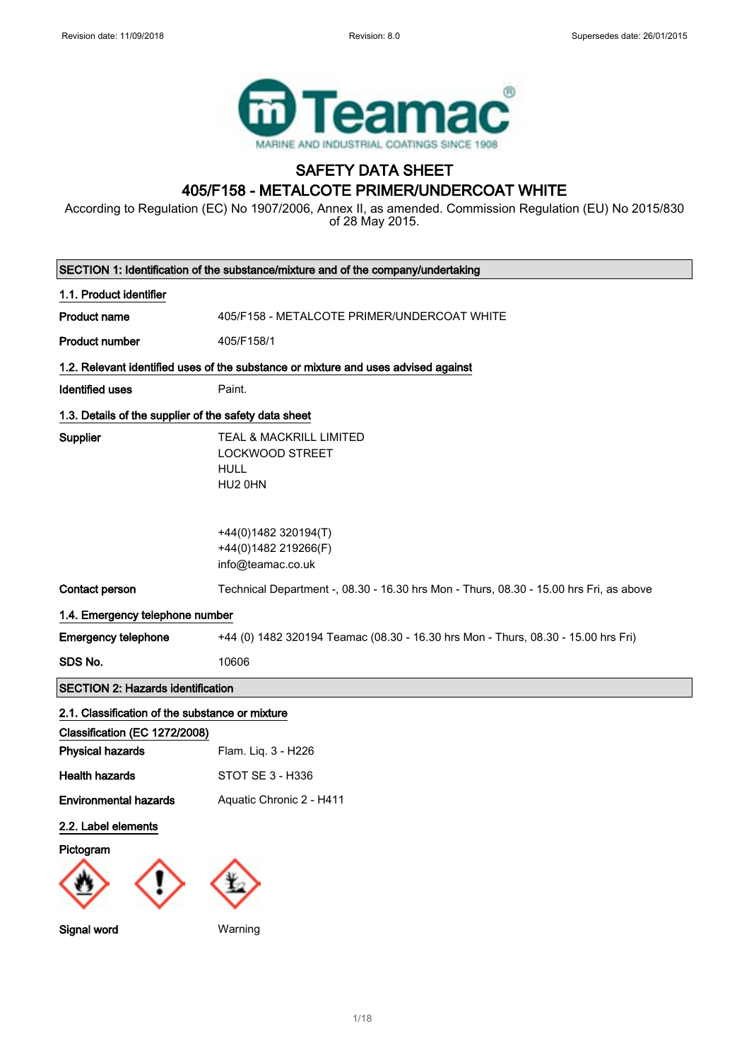

## SAFETY DATA SHEET 405/F158 - METALCOTE PRIMER/UNDERCOAT WHITE

According to Regulation (EC) No 1907/2006, Annex II, as amended. Commission Regulation (EU) No 2015/830 of 28 May 2015.

| SECTION 1: Identification of the substance/mixture and of the company/undertaking |                                                                                        |  |
|-----------------------------------------------------------------------------------|----------------------------------------------------------------------------------------|--|
| 1.1. Product identifier                                                           |                                                                                        |  |
| <b>Product name</b>                                                               | 405/F158 - METALCOTE PRIMER/UNDERCOAT WHITE                                            |  |
| <b>Product number</b>                                                             | 405/F158/1                                                                             |  |
|                                                                                   | 1.2. Relevant identified uses of the substance or mixture and uses advised against     |  |
| <b>Identified uses</b>                                                            | Paint.                                                                                 |  |
| 1.3. Details of the supplier of the safety data sheet                             |                                                                                        |  |
| <b>Supplier</b>                                                                   | TEAL & MACKRILL LIMITED<br>LOCKWOOD STREET<br><b>HULL</b><br>HU2 0HN                   |  |
|                                                                                   | +44(0)1482 320194(T)<br>+44(0)1482 219266(F)<br>info@teamac.co.uk                      |  |
| Contact person                                                                    | Technical Department -, 08.30 - 16.30 hrs Mon - Thurs, 08.30 - 15.00 hrs Fri, as above |  |
| 1.4. Emergency telephone number                                                   |                                                                                        |  |
| <b>Emergency telephone</b>                                                        | +44 (0) 1482 320194 Teamac (08.30 - 16.30 hrs Mon - Thurs, 08.30 - 15.00 hrs Fri)      |  |
| SDS No.                                                                           | 10606                                                                                  |  |
| <b>SECTION 2: Hazards identification</b>                                          |                                                                                        |  |
| 2.1. Classification of the substance or mixture                                   |                                                                                        |  |
| Classification (EC 1272/2008)                                                     |                                                                                        |  |
| <b>Physical hazards</b>                                                           | Flam. Liq. 3 - H226                                                                    |  |
| <b>Health hazards</b>                                                             | STOT SE 3 - H336                                                                       |  |
| <b>Environmental hazards</b>                                                      |                                                                                        |  |
|                                                                                   | Aquatic Chronic 2 - H411                                                               |  |
| 2.2. Label elements                                                               |                                                                                        |  |
| Pictogram<br>Signal word                                                          | Warning                                                                                |  |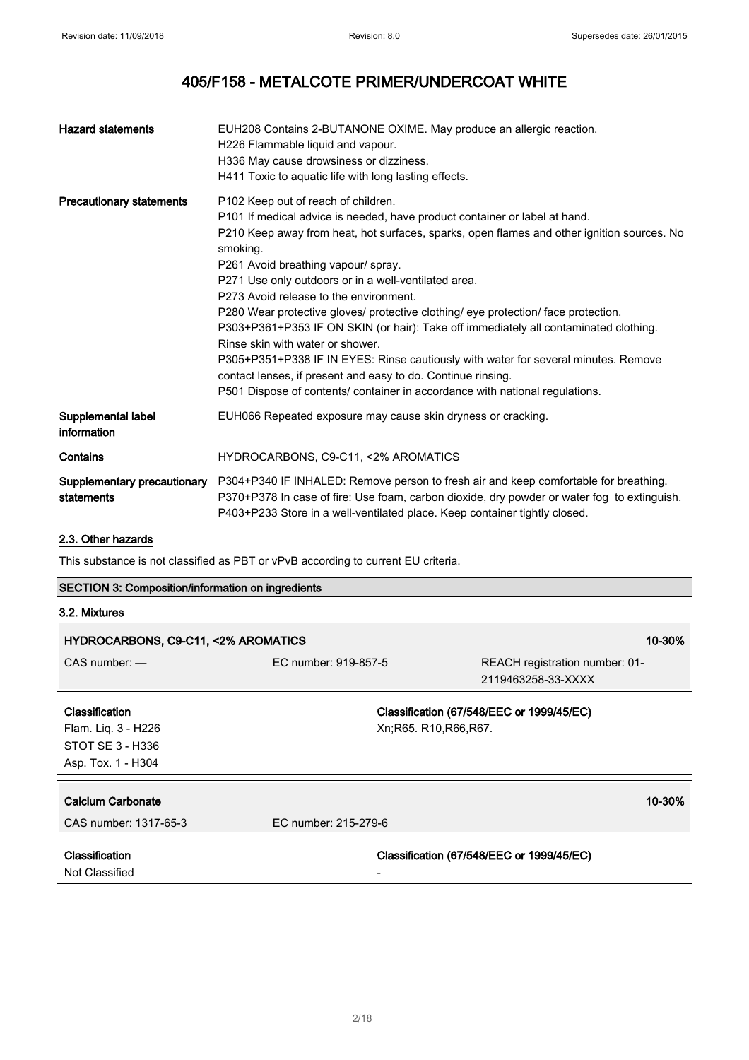| <b>Hazard statements</b>          | EUH208 Contains 2-BUTANONE OXIME. May produce an allergic reaction.<br>H226 Flammable liquid and vapour.<br>H336 May cause drowsiness or dizziness.<br>H411 Toxic to aquatic life with long lasting effects.                                                                                                                                                                                                                                                                                                                                                                                                                                                                                                                                                                                                                 |
|-----------------------------------|------------------------------------------------------------------------------------------------------------------------------------------------------------------------------------------------------------------------------------------------------------------------------------------------------------------------------------------------------------------------------------------------------------------------------------------------------------------------------------------------------------------------------------------------------------------------------------------------------------------------------------------------------------------------------------------------------------------------------------------------------------------------------------------------------------------------------|
| <b>Precautionary statements</b>   | P102 Keep out of reach of children.<br>P101 If medical advice is needed, have product container or label at hand.<br>P210 Keep away from heat, hot surfaces, sparks, open flames and other ignition sources. No<br>smoking.<br>P261 Avoid breathing vapour/ spray.<br>P271 Use only outdoors or in a well-ventilated area.<br>P273 Avoid release to the environment.<br>P280 Wear protective gloves/ protective clothing/ eye protection/ face protection.<br>P303+P361+P353 IF ON SKIN (or hair): Take off immediately all contaminated clothing.<br>Rinse skin with water or shower.<br>P305+P351+P338 IF IN EYES: Rinse cautiously with water for several minutes. Remove<br>contact lenses, if present and easy to do. Continue rinsing.<br>P501 Dispose of contents/ container in accordance with national regulations. |
| Supplemental label<br>information | EUH066 Repeated exposure may cause skin dryness or cracking.                                                                                                                                                                                                                                                                                                                                                                                                                                                                                                                                                                                                                                                                                                                                                                 |
| Contains                          | HYDROCARBONS, C9-C11, <2% AROMATICS                                                                                                                                                                                                                                                                                                                                                                                                                                                                                                                                                                                                                                                                                                                                                                                          |
| statements                        | Supplementary precautionary P304+P340 IF INHALED: Remove person to fresh air and keep comfortable for breathing.<br>P370+P378 In case of fire: Use foam, carbon dioxide, dry powder or water fog to extinguish.<br>P403+P233 Store in a well-ventilated place. Keep container tightly closed.                                                                                                                                                                                                                                                                                                                                                                                                                                                                                                                                |

## 2.3. Other hazards

This substance is not classified as PBT or vPvB according to current EU criteria.

| <b>SECTION 3: Composition/information on ingredients</b> |                      |                                           |        |
|----------------------------------------------------------|----------------------|-------------------------------------------|--------|
| 3.2. Mixtures                                            |                      |                                           |        |
| HYDROCARBONS, C9-C11, <2% AROMATICS                      |                      |                                           | 10-30% |
| $CAS$ number: $-$                                        | EC number: 919-857-5 | REACH registration number: 01-            |        |
|                                                          |                      | 2119463258-33-XXXX                        |        |
| Classification                                           |                      | Classification (67/548/EEC or 1999/45/EC) |        |
| Flam. Liq. 3 - H226                                      |                      | Xn; R65. R10, R66, R67.                   |        |
| STOT SE 3 - H336                                         |                      |                                           |        |
| Asp. Tox. 1 - H304                                       |                      |                                           |        |
|                                                          |                      |                                           |        |
| Calcium Carbonate                                        |                      |                                           | 10-30% |
| CAS number: 1317-65-3                                    | EC number: 215-279-6 |                                           |        |
| Classification<br>Not Classified                         |                      | Classification (67/548/EEC or 1999/45/EC) |        |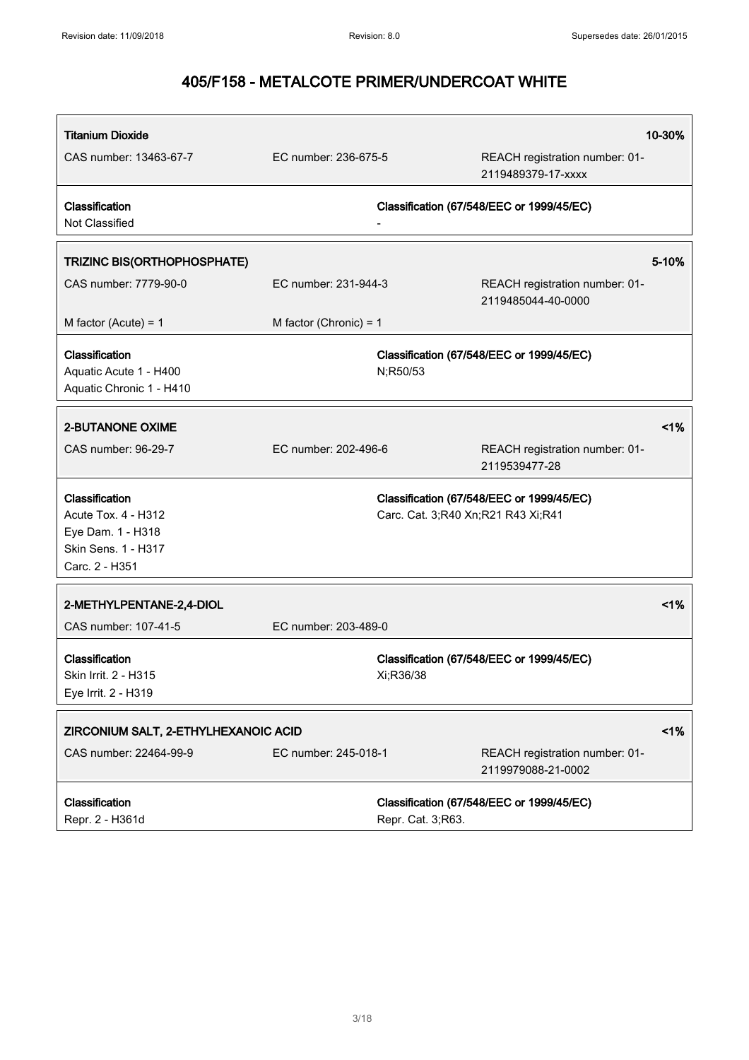| <b>Titanium Dioxide</b>                                              |                          |                                    |                                                      | 10-30% |
|----------------------------------------------------------------------|--------------------------|------------------------------------|------------------------------------------------------|--------|
| CAS number: 13463-67-7                                               | EC number: 236-675-5     |                                    | REACH registration number: 01-<br>2119489379-17-xxxx |        |
| Classification<br>Not Classified                                     |                          |                                    | Classification (67/548/EEC or 1999/45/EC)            |        |
| <b>TRIZINC BIS(ORTHOPHOSPHATE)</b>                                   |                          |                                    |                                                      | 5-10%  |
| CAS number: 7779-90-0                                                | EC number: 231-944-3     |                                    | REACH registration number: 01-<br>2119485044-40-0000 |        |
| M factor (Acute) = $1$                                               | M factor (Chronic) = $1$ |                                    |                                                      |        |
| Classification<br>Aquatic Acute 1 - H400<br>Aquatic Chronic 1 - H410 |                          | N;R50/53                           | Classification (67/548/EEC or 1999/45/EC)            |        |
| <b>2-BUTANONE OXIME</b>                                              |                          |                                    |                                                      | 1%     |
| CAS number: 96-29-7                                                  | EC number: 202-496-6     |                                    | REACH registration number: 01-<br>2119539477-28      |        |
| Classification                                                       |                          |                                    | Classification (67/548/EEC or 1999/45/EC)            |        |
| Acute Tox. 4 - H312<br>Eye Dam. 1 - H318                             |                          | Carc. Cat. 3;R40 Xn;R21 R43 Xi;R41 |                                                      |        |
| Skin Sens. 1 - H317                                                  |                          |                                    |                                                      |        |
| Carc. 2 - H351                                                       |                          |                                    |                                                      |        |
| 2-METHYLPENTANE-2,4-DIOL                                             |                          |                                    |                                                      | 1%     |
| CAS number: 107-41-5                                                 | EC number: 203-489-0     |                                    |                                                      |        |
| Classification<br>Skin Irrit. 2 - H315<br>Eye Irrit. 2 - H319        |                          | Xi;R36/38                          | Classification (67/548/EEC or 1999/45/EC)            |        |
| ZIRCONIUM SALT, 2-ETHYLHEXANOIC ACID                                 |                          |                                    |                                                      | 1%     |
| CAS number: 22464-99-9                                               | EC number: 245-018-1     |                                    | REACH registration number: 01-<br>2119979088-21-0002 |        |
| Classification                                                       |                          |                                    | Classification (67/548/EEC or 1999/45/EC)            |        |
| Repr. 2 - H361d                                                      |                          | Repr. Cat. 3;R63.                  |                                                      |        |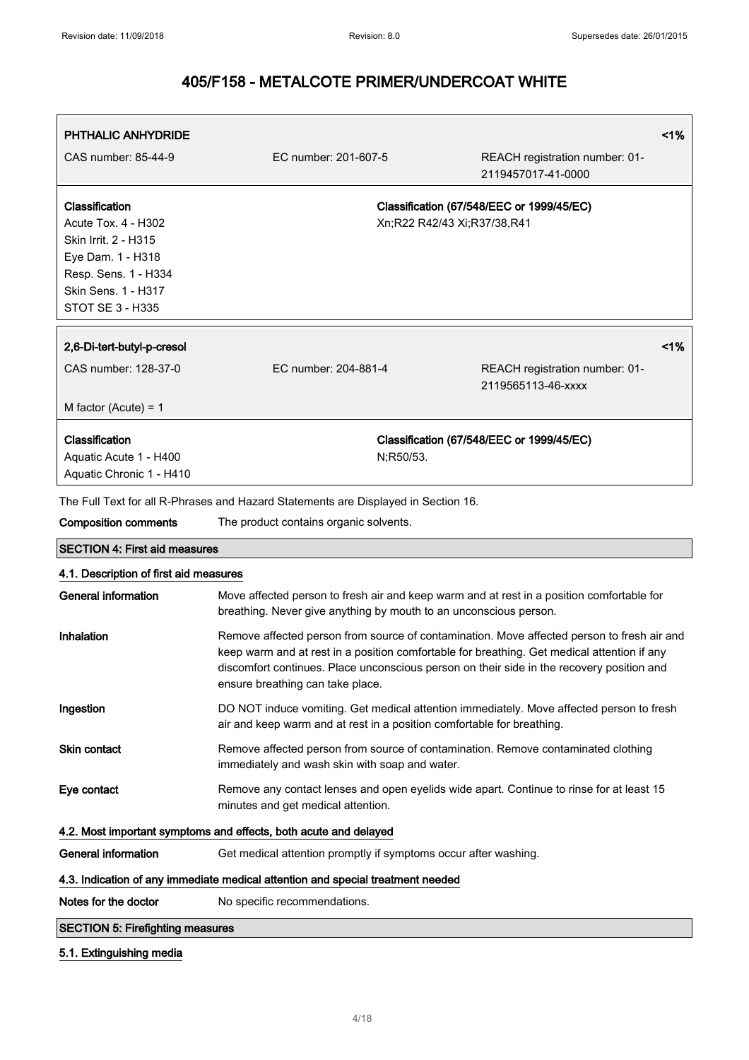| <b>PHTHALIC ANHYDRIDE</b>                                                                                                                             |                                                                                                                                                                    | 1%                                                                                                                                                                                                                                                                                     |
|-------------------------------------------------------------------------------------------------------------------------------------------------------|--------------------------------------------------------------------------------------------------------------------------------------------------------------------|----------------------------------------------------------------------------------------------------------------------------------------------------------------------------------------------------------------------------------------------------------------------------------------|
| CAS number: 85-44-9                                                                                                                                   | EC number: 201-607-5                                                                                                                                               | REACH registration number: 01-<br>2119457017-41-0000                                                                                                                                                                                                                                   |
| Classification<br>Acute Tox. 4 - H302<br>Skin Irrit. 2 - H315<br>Eye Dam. 1 - H318<br>Resp. Sens. 1 - H334<br>Skin Sens. 1 - H317<br>STOT SE 3 - H335 |                                                                                                                                                                    | Classification (67/548/EEC or 1999/45/EC)<br>Xn;R22 R42/43 Xi;R37/38,R41                                                                                                                                                                                                               |
| 2,6-Di-tert-butyl-p-cresol                                                                                                                            |                                                                                                                                                                    | 1%                                                                                                                                                                                                                                                                                     |
| CAS number: 128-37-0                                                                                                                                  | EC number: 204-881-4                                                                                                                                               | REACH registration number: 01-<br>2119565113-46-xxxx                                                                                                                                                                                                                                   |
| M factor (Acute) = $1$                                                                                                                                |                                                                                                                                                                    |                                                                                                                                                                                                                                                                                        |
| Classification<br>Aquatic Acute 1 - H400<br>Aquatic Chronic 1 - H410                                                                                  | N;R50/53.                                                                                                                                                          | Classification (67/548/EEC or 1999/45/EC)                                                                                                                                                                                                                                              |
|                                                                                                                                                       | The Full Text for all R-Phrases and Hazard Statements are Displayed in Section 16.                                                                                 |                                                                                                                                                                                                                                                                                        |
| <b>Composition comments</b>                                                                                                                           | The product contains organic solvents.                                                                                                                             |                                                                                                                                                                                                                                                                                        |
| <b>SECTION 4: First aid measures</b>                                                                                                                  |                                                                                                                                                                    |                                                                                                                                                                                                                                                                                        |
| 4.1. Description of first aid measures                                                                                                                |                                                                                                                                                                    |                                                                                                                                                                                                                                                                                        |
| <b>General information</b>                                                                                                                            | breathing. Never give anything by mouth to an unconscious person.                                                                                                  | Move affected person to fresh air and keep warm and at rest in a position comfortable for                                                                                                                                                                                              |
| Inhalation                                                                                                                                            | ensure breathing can take place.                                                                                                                                   | Remove affected person from source of contamination. Move affected person to fresh air and<br>keep warm and at rest in a position comfortable for breathing. Get medical attention if any<br>discomfort continues. Place unconscious person on their side in the recovery position and |
| Ingestion                                                                                                                                             | DO NOT induce vomiting. Get medical attention immediately. Move affected person to fresh<br>air and keep warm and at rest in a position comfortable for breathing. |                                                                                                                                                                                                                                                                                        |
| Skin contact                                                                                                                                          | Remove affected person from source of contamination. Remove contaminated clothing<br>immediately and wash skin with soap and water.                                |                                                                                                                                                                                                                                                                                        |
| Eye contact                                                                                                                                           | minutes and get medical attention.                                                                                                                                 | Remove any contact lenses and open eyelids wide apart. Continue to rinse for at least 15                                                                                                                                                                                               |
|                                                                                                                                                       | 4.2. Most important symptoms and effects, both acute and delayed                                                                                                   |                                                                                                                                                                                                                                                                                        |
| <b>General information</b>                                                                                                                            | Get medical attention promptly if symptoms occur after washing.                                                                                                    |                                                                                                                                                                                                                                                                                        |
|                                                                                                                                                       | 4.3. Indication of any immediate medical attention and special treatment needed                                                                                    |                                                                                                                                                                                                                                                                                        |
| Notes for the doctor                                                                                                                                  | No specific recommendations.                                                                                                                                       |                                                                                                                                                                                                                                                                                        |
| <b>SECTION 5: Firefighting measures</b>                                                                                                               |                                                                                                                                                                    |                                                                                                                                                                                                                                                                                        |
|                                                                                                                                                       |                                                                                                                                                                    |                                                                                                                                                                                                                                                                                        |

### 5.1. Extinguishing media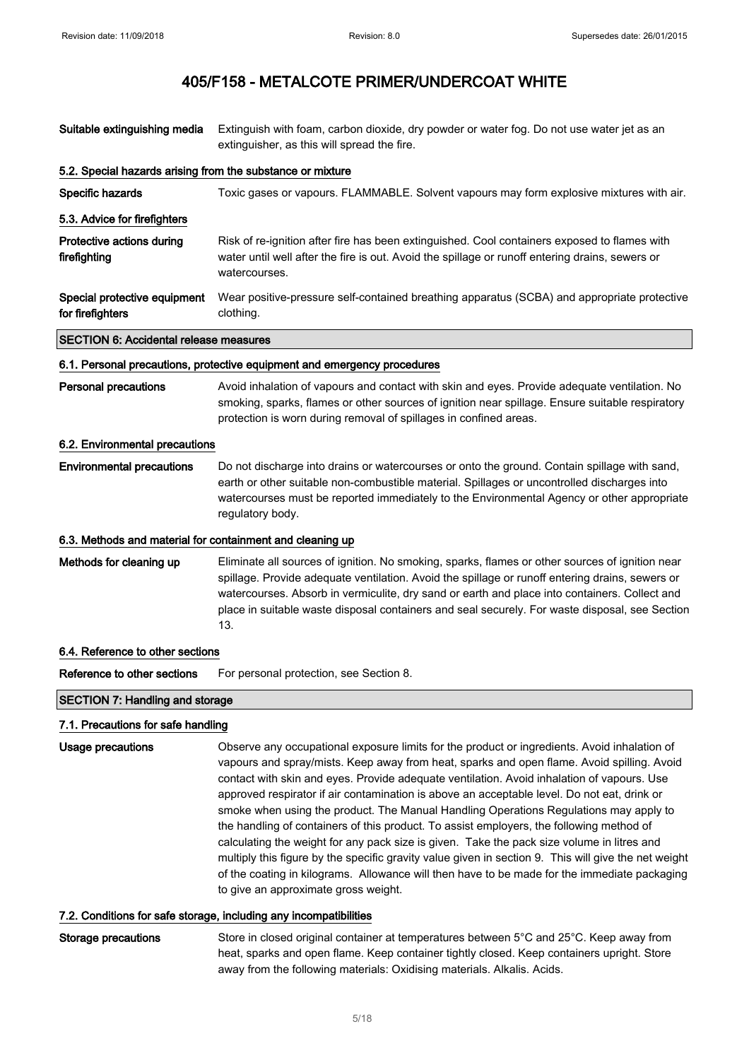| Suitable extinguishing media                               | Extinguish with foam, carbon dioxide, dry powder or water fog. Do not use water jet as an<br>extinguisher, as this will spread the fire.                                                                                                                                                                                                                                                                                                                                                                                                                                                                                                                                                                                                                                                                                                                                                                                   |  |  |  |
|------------------------------------------------------------|----------------------------------------------------------------------------------------------------------------------------------------------------------------------------------------------------------------------------------------------------------------------------------------------------------------------------------------------------------------------------------------------------------------------------------------------------------------------------------------------------------------------------------------------------------------------------------------------------------------------------------------------------------------------------------------------------------------------------------------------------------------------------------------------------------------------------------------------------------------------------------------------------------------------------|--|--|--|
| 5.2. Special hazards arising from the substance or mixture |                                                                                                                                                                                                                                                                                                                                                                                                                                                                                                                                                                                                                                                                                                                                                                                                                                                                                                                            |  |  |  |
| Specific hazards                                           | Toxic gases or vapours. FLAMMABLE. Solvent vapours may form explosive mixtures with air.                                                                                                                                                                                                                                                                                                                                                                                                                                                                                                                                                                                                                                                                                                                                                                                                                                   |  |  |  |
| 5.3. Advice for firefighters                               |                                                                                                                                                                                                                                                                                                                                                                                                                                                                                                                                                                                                                                                                                                                                                                                                                                                                                                                            |  |  |  |
| Protective actions during<br>firefighting                  | Risk of re-ignition after fire has been extinguished. Cool containers exposed to flames with<br>water until well after the fire is out. Avoid the spillage or runoff entering drains, sewers or<br>watercourses.                                                                                                                                                                                                                                                                                                                                                                                                                                                                                                                                                                                                                                                                                                           |  |  |  |
| Special protective equipment<br>for firefighters           | Wear positive-pressure self-contained breathing apparatus (SCBA) and appropriate protective<br>clothing.                                                                                                                                                                                                                                                                                                                                                                                                                                                                                                                                                                                                                                                                                                                                                                                                                   |  |  |  |
| <b>SECTION 6: Accidental release measures</b>              |                                                                                                                                                                                                                                                                                                                                                                                                                                                                                                                                                                                                                                                                                                                                                                                                                                                                                                                            |  |  |  |
|                                                            | 6.1. Personal precautions, protective equipment and emergency procedures                                                                                                                                                                                                                                                                                                                                                                                                                                                                                                                                                                                                                                                                                                                                                                                                                                                   |  |  |  |
| <b>Personal precautions</b>                                | Avoid inhalation of vapours and contact with skin and eyes. Provide adequate ventilation. No<br>smoking, sparks, flames or other sources of ignition near spillage. Ensure suitable respiratory<br>protection is worn during removal of spillages in confined areas.                                                                                                                                                                                                                                                                                                                                                                                                                                                                                                                                                                                                                                                       |  |  |  |
| 6.2. Environmental precautions                             |                                                                                                                                                                                                                                                                                                                                                                                                                                                                                                                                                                                                                                                                                                                                                                                                                                                                                                                            |  |  |  |
| <b>Environmental precautions</b>                           | Do not discharge into drains or watercourses or onto the ground. Contain spillage with sand,<br>earth or other suitable non-combustible material. Spillages or uncontrolled discharges into<br>watercourses must be reported immediately to the Environmental Agency or other appropriate<br>regulatory body.                                                                                                                                                                                                                                                                                                                                                                                                                                                                                                                                                                                                              |  |  |  |
| 6.3. Methods and material for containment and cleaning up  |                                                                                                                                                                                                                                                                                                                                                                                                                                                                                                                                                                                                                                                                                                                                                                                                                                                                                                                            |  |  |  |
| Methods for cleaning up                                    | Eliminate all sources of ignition. No smoking, sparks, flames or other sources of ignition near<br>spillage. Provide adequate ventilation. Avoid the spillage or runoff entering drains, sewers or<br>watercourses. Absorb in vermiculite, dry sand or earth and place into containers. Collect and<br>place in suitable waste disposal containers and seal securely. For waste disposal, see Section<br>13.                                                                                                                                                                                                                                                                                                                                                                                                                                                                                                               |  |  |  |
| 6.4. Reference to other sections                           |                                                                                                                                                                                                                                                                                                                                                                                                                                                                                                                                                                                                                                                                                                                                                                                                                                                                                                                            |  |  |  |
| Reference to other sections                                | For personal protection, see Section 8.                                                                                                                                                                                                                                                                                                                                                                                                                                                                                                                                                                                                                                                                                                                                                                                                                                                                                    |  |  |  |
| <b>SECTION 7: Handling and storage</b>                     |                                                                                                                                                                                                                                                                                                                                                                                                                                                                                                                                                                                                                                                                                                                                                                                                                                                                                                                            |  |  |  |
| 7.1. Precautions for safe handling                         |                                                                                                                                                                                                                                                                                                                                                                                                                                                                                                                                                                                                                                                                                                                                                                                                                                                                                                                            |  |  |  |
| <b>Usage precautions</b>                                   | Observe any occupational exposure limits for the product or ingredients. Avoid inhalation of<br>vapours and spray/mists. Keep away from heat, sparks and open flame. Avoid spilling. Avoid<br>contact with skin and eyes. Provide adequate ventilation. Avoid inhalation of vapours. Use<br>approved respirator if air contamination is above an acceptable level. Do not eat, drink or<br>smoke when using the product. The Manual Handling Operations Regulations may apply to<br>the handling of containers of this product. To assist employers, the following method of<br>calculating the weight for any pack size is given. Take the pack size volume in litres and<br>multiply this figure by the specific gravity value given in section 9. This will give the net weight<br>of the coating in kilograms. Allowance will then have to be made for the immediate packaging<br>to give an approximate gross weight. |  |  |  |
|                                                            | 7.2. Conditions for safe storage, including any incompatibilities                                                                                                                                                                                                                                                                                                                                                                                                                                                                                                                                                                                                                                                                                                                                                                                                                                                          |  |  |  |

## Storage precautions Store in closed original container at temperatures between 5°C and 25°C. Keep away from heat, sparks and open flame. Keep container tightly closed. Keep containers upright. Store away from the following materials: Oxidising materials. Alkalis. Acids.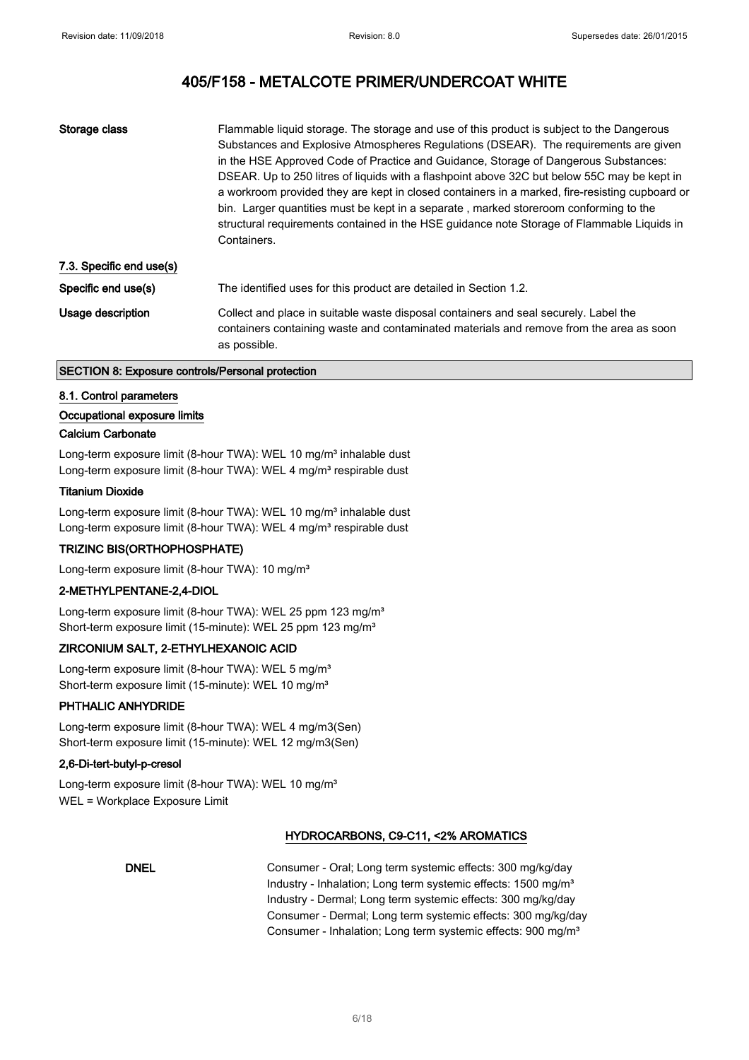| Storage class            | Flammable liquid storage. The storage and use of this product is subject to the Dangerous<br>Substances and Explosive Atmospheres Regulations (DSEAR). The requirements are given<br>in the HSE Approved Code of Practice and Guidance, Storage of Dangerous Substances:<br>DSEAR. Up to 250 litres of liquids with a flashpoint above 32C but below 55C may be kept in<br>a workroom provided they are kept in closed containers in a marked, fire-resisting cupboard or<br>bin. Larger quantities must be kept in a separate, marked storeroom conforming to the<br>structural requirements contained in the HSE guidance note Storage of Flammable Liquids in<br>Containers. |
|--------------------------|---------------------------------------------------------------------------------------------------------------------------------------------------------------------------------------------------------------------------------------------------------------------------------------------------------------------------------------------------------------------------------------------------------------------------------------------------------------------------------------------------------------------------------------------------------------------------------------------------------------------------------------------------------------------------------|
| 7.3. Specific end use(s) |                                                                                                                                                                                                                                                                                                                                                                                                                                                                                                                                                                                                                                                                                 |
| Specific end use(s)      | The identified uses for this product are detailed in Section 1.2.                                                                                                                                                                                                                                                                                                                                                                                                                                                                                                                                                                                                               |
| Usage description        | Collect and place in suitable waste disposal containers and seal securely. Label the<br>containers containing waste and contaminated materials and remove from the area as soon<br>as possible.                                                                                                                                                                                                                                                                                                                                                                                                                                                                                 |

#### SECTION 8: Exposure controls/Personal protection

#### 8.1. Control parameters

### Occupational exposure limits

#### Calcium Carbonate

Long-term exposure limit (8-hour TWA): WEL 10 mg/m<sup>3</sup> inhalable dust Long-term exposure limit (8-hour TWA): WEL 4 mg/m<sup>3</sup> respirable dust

#### Titanium Dioxide

Long-term exposure limit (8-hour TWA): WEL 10 mg/m<sup>3</sup> inhalable dust Long-term exposure limit (8-hour TWA): WEL 4 mg/m<sup>3</sup> respirable dust

#### TRIZINC BIS(ORTHOPHOSPHATE)

Long-term exposure limit (8-hour TWA): 10 mg/m<sup>3</sup>

### 2-METHYLPENTANE-2,4-DIOL

Long-term exposure limit (8-hour TWA): WEL 25 ppm 123 mg/m<sup>3</sup> Short-term exposure limit (15-minute): WEL 25 ppm 123 mg/m<sup>3</sup>

#### ZIRCONIUM SALT, 2-ETHYLHEXANOIC ACID

Long-term exposure limit (8-hour TWA): WEL 5 mg/m<sup>3</sup> Short-term exposure limit (15-minute): WEL 10 mg/m<sup>3</sup>

### PHTHALIC ANHYDRIDE

Long-term exposure limit (8-hour TWA): WEL 4 mg/m3(Sen) Short-term exposure limit (15-minute): WEL 12 mg/m3(Sen)

#### 2,6-Di-tert-butyl-p-cresol

Long-term exposure limit (8-hour TWA): WEL 10 mg/m<sup>3</sup> WEL = Workplace Exposure Limit

### HYDROCARBONS, C9-C11, <2% AROMATICS

DNEL Consumer - Oral; Long term systemic effects: 300 mg/kg/day Industry - Inhalation; Long term systemic effects: 1500 mg/m<sup>3</sup> Industry - Dermal; Long term systemic effects: 300 mg/kg/day Consumer - Dermal; Long term systemic effects: 300 mg/kg/day Consumer - Inhalation; Long term systemic effects: 900 mg/m<sup>3</sup>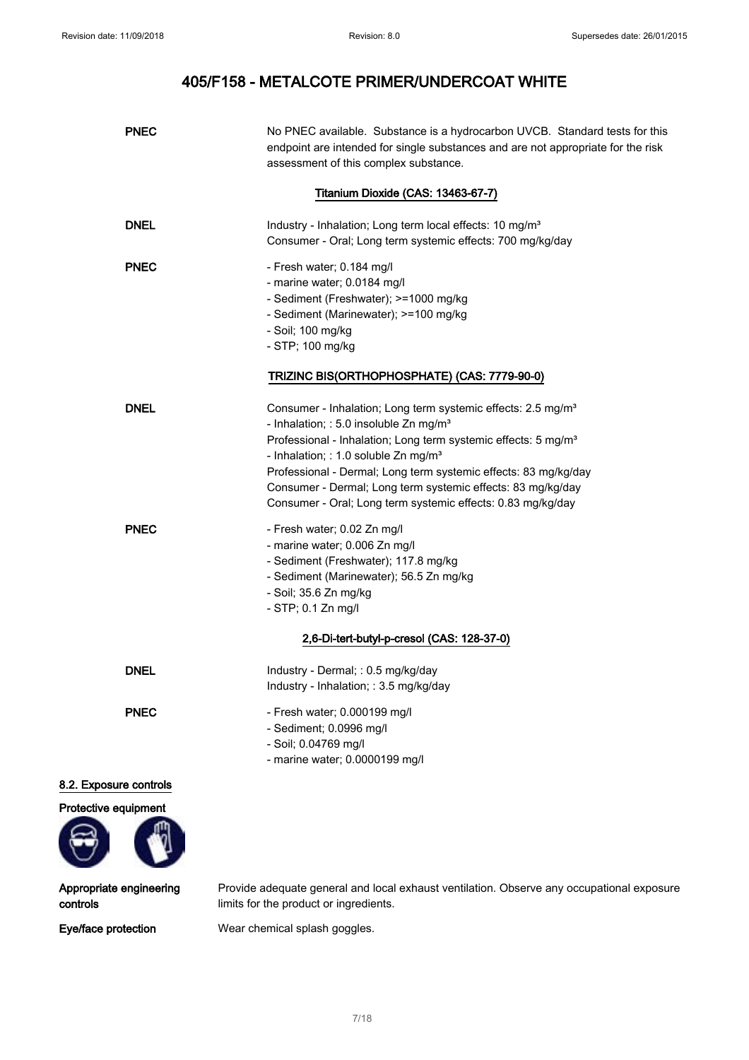| <b>PNEC</b>            | No PNEC available. Substance is a hydrocarbon UVCB. Standard tests for this<br>endpoint are intended for single substances and are not appropriate for the risk<br>assessment of this complex substance.                                                                                                                                                                                                                                                          |
|------------------------|-------------------------------------------------------------------------------------------------------------------------------------------------------------------------------------------------------------------------------------------------------------------------------------------------------------------------------------------------------------------------------------------------------------------------------------------------------------------|
|                        | Titanium Dioxide (CAS: 13463-67-7)                                                                                                                                                                                                                                                                                                                                                                                                                                |
| <b>DNEL</b>            | Industry - Inhalation; Long term local effects: 10 mg/m <sup>3</sup><br>Consumer - Oral; Long term systemic effects: 700 mg/kg/day                                                                                                                                                                                                                                                                                                                                |
| <b>PNEC</b>            | - Fresh water; 0.184 mg/l<br>- marine water; 0.0184 mg/l<br>- Sediment (Freshwater); >=1000 mg/kg<br>- Sediment (Marinewater); >=100 mg/kg<br>- Soil; 100 mg/kg<br>- STP; 100 mg/kg                                                                                                                                                                                                                                                                               |
|                        | TRIZINC BIS(ORTHOPHOSPHATE) (CAS: 7779-90-0)                                                                                                                                                                                                                                                                                                                                                                                                                      |
| <b>DNEL</b>            | Consumer - Inhalation; Long term systemic effects: 2.5 mg/m <sup>3</sup><br>- Inhalation; : 5.0 insoluble Zn mg/m <sup>3</sup><br>Professional - Inhalation; Long term systemic effects: 5 mg/m <sup>3</sup><br>- Inhalation; : 1.0 soluble Zn mg/m <sup>3</sup><br>Professional - Dermal; Long term systemic effects: 83 mg/kg/day<br>Consumer - Dermal; Long term systemic effects: 83 mg/kg/day<br>Consumer - Oral; Long term systemic effects: 0.83 mg/kg/day |
| <b>PNEC</b>            | - Fresh water; 0.02 Zn mg/l<br>- marine water; 0.006 Zn mg/l<br>- Sediment (Freshwater); 117.8 mg/kg<br>- Sediment (Marinewater); 56.5 Zn mg/kg<br>- Soil; 35.6 Zn mg/kg<br>- STP; 0.1 Zn mg/l                                                                                                                                                                                                                                                                    |
|                        | 2,6-Di-tert-butyl-p-cresol (CAS: 128-37-0)                                                                                                                                                                                                                                                                                                                                                                                                                        |
| <b>DNEL</b>            | Industry - Dermal; : 0.5 mg/kg/day<br>Industry - Inhalation; : 3.5 mg/kg/day                                                                                                                                                                                                                                                                                                                                                                                      |
| <b>PNEC</b>            | - Fresh water; 0.000199 mg/l<br>- Sediment; 0.0996 mg/l<br>- Soil; 0.04769 mg/l<br>- marine water; 0.0000199 mg/l                                                                                                                                                                                                                                                                                                                                                 |
| 8.2. Exposure controls |                                                                                                                                                                                                                                                                                                                                                                                                                                                                   |
| Protective equipment   |                                                                                                                                                                                                                                                                                                                                                                                                                                                                   |

Appropriate engineering controls

Provide adequate general and local exhaust ventilation. Observe any occupational exposure limits for the product or ingredients.

Eye/face protection Wear chemical splash goggles.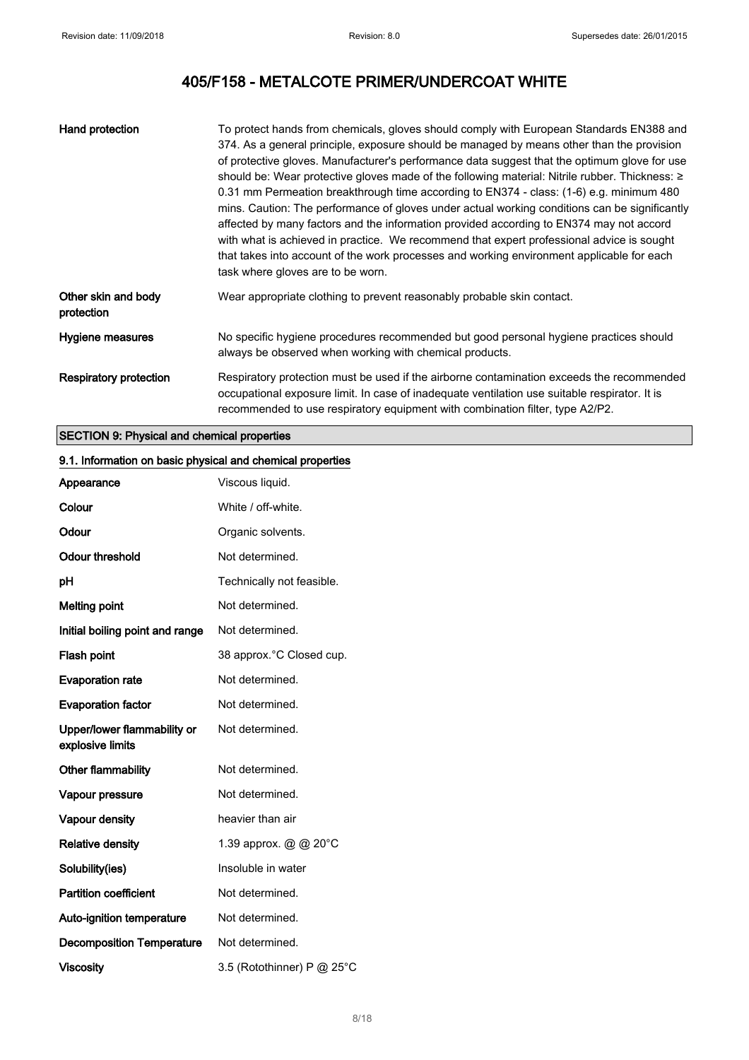| Hand protection                   | To protect hands from chemicals, gloves should comply with European Standards EN388 and<br>374. As a general principle, exposure should be managed by means other than the provision<br>of protective gloves. Manufacturer's performance data suggest that the optimum glove for use<br>should be: Wear protective gloves made of the following material: Nitrile rubber. Thickness: ≥<br>0.31 mm Permeation breakthrough time according to EN374 - class: (1-6) e.g. minimum 480<br>mins. Caution: The performance of gloves under actual working conditions can be significantly<br>affected by many factors and the information provided according to EN374 may not accord<br>with what is achieved in practice. We recommend that expert professional advice is sought<br>that takes into account of the work processes and working environment applicable for each<br>task where gloves are to be worn. |
|-----------------------------------|--------------------------------------------------------------------------------------------------------------------------------------------------------------------------------------------------------------------------------------------------------------------------------------------------------------------------------------------------------------------------------------------------------------------------------------------------------------------------------------------------------------------------------------------------------------------------------------------------------------------------------------------------------------------------------------------------------------------------------------------------------------------------------------------------------------------------------------------------------------------------------------------------------------|
| Other skin and body<br>protection | Wear appropriate clothing to prevent reasonably probable skin contact.                                                                                                                                                                                                                                                                                                                                                                                                                                                                                                                                                                                                                                                                                                                                                                                                                                       |
| Hygiene measures                  | No specific hygiene procedures recommended but good personal hygiene practices should<br>always be observed when working with chemical products.                                                                                                                                                                                                                                                                                                                                                                                                                                                                                                                                                                                                                                                                                                                                                             |
| <b>Respiratory protection</b>     | Respiratory protection must be used if the airborne contamination exceeds the recommended<br>occupational exposure limit. In case of inadequate ventilation use suitable respirator. It is<br>recommended to use respiratory equipment with combination filter, type A2/P2.                                                                                                                                                                                                                                                                                                                                                                                                                                                                                                                                                                                                                                  |

## SECTION 9: Physical and chemical properties

# 9.1. Information on basic physical and chemical properties Appearance Viscous liquid.

| Colour                                          | White / off-white.             |
|-------------------------------------------------|--------------------------------|
| Odour                                           | Organic solvents.              |
| <b>Odour threshold</b>                          | Not determined.                |
| рH                                              | Technically not feasible.      |
| <b>Melting point</b>                            | Not determined.                |
| Initial boiling point and range                 | Not determined.                |
| Flash point                                     | 38 approx. °C Closed cup.      |
| <b>Evaporation rate</b>                         | Not determined.                |
| <b>Evaporation factor</b>                       | Not determined.                |
| Upper/lower flammability or<br>explosive limits | Not determined.                |
| Other flammability                              | Not determined.                |
| Vapour pressure                                 | Not determined.                |
| Vapour density                                  | heavier than air               |
| <b>Relative density</b>                         | 1.39 approx. $@ @ 20^{\circ}C$ |
| Solubility(ies)                                 | Insoluble in water             |
| <b>Partition coefficient</b>                    | Not determined.                |
| <b>Auto-ignition temperature</b>                | Not determined.                |
| <b>Decomposition Temperature</b>                | Not determined.                |
| Viscosity                                       | 3.5 (Rotothinner) P @ 25°C     |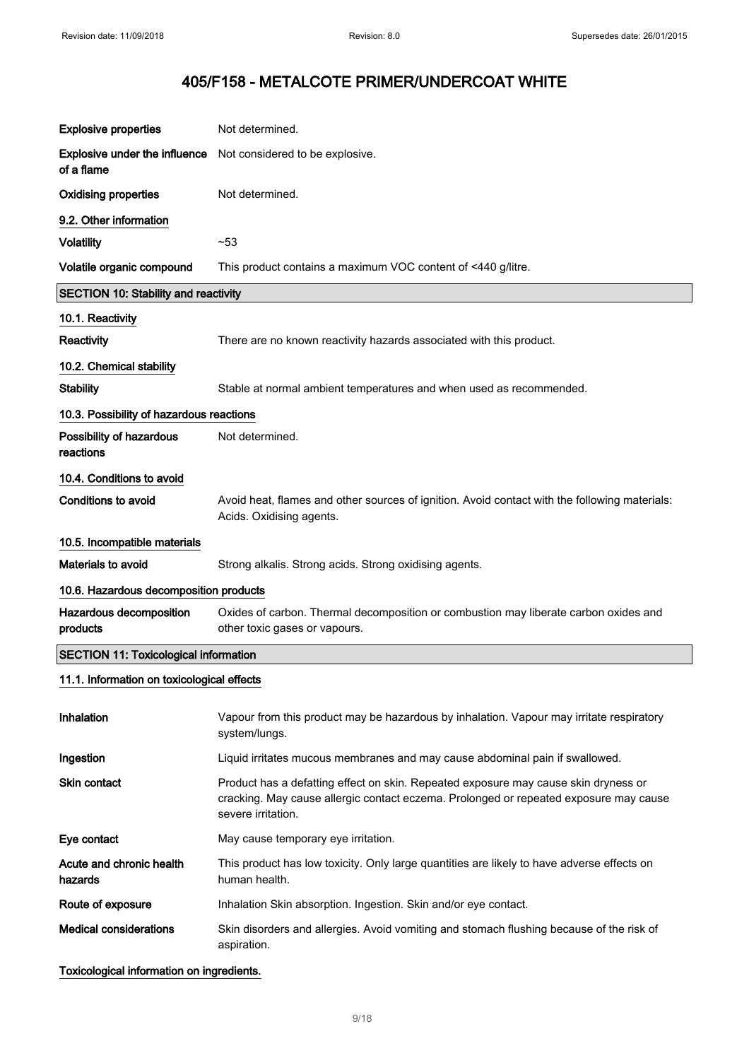| <b>Explosive properties</b>                        | Not determined.                                                                                                                                                                                    |
|----------------------------------------------------|----------------------------------------------------------------------------------------------------------------------------------------------------------------------------------------------------|
| <b>Explosive under the influence</b><br>of a flame | Not considered to be explosive.                                                                                                                                                                    |
| <b>Oxidising properties</b>                        | Not determined.                                                                                                                                                                                    |
| 9.2. Other information                             |                                                                                                                                                                                                    |
| <b>Volatility</b>                                  | $-53$                                                                                                                                                                                              |
| Volatile organic compound                          | This product contains a maximum VOC content of <440 g/litre.                                                                                                                                       |
| <b>SECTION 10: Stability and reactivity</b>        |                                                                                                                                                                                                    |
| 10.1. Reactivity                                   |                                                                                                                                                                                                    |
| Reactivity                                         | There are no known reactivity hazards associated with this product.                                                                                                                                |
| 10.2. Chemical stability                           |                                                                                                                                                                                                    |
| <b>Stability</b>                                   | Stable at normal ambient temperatures and when used as recommended.                                                                                                                                |
| 10.3. Possibility of hazardous reactions           |                                                                                                                                                                                                    |
| Possibility of hazardous<br>reactions              | Not determined.                                                                                                                                                                                    |
| 10.4. Conditions to avoid                          |                                                                                                                                                                                                    |
| <b>Conditions to avoid</b>                         | Avoid heat, flames and other sources of ignition. Avoid contact with the following materials:<br>Acids. Oxidising agents.                                                                          |
| 10.5. Incompatible materials                       |                                                                                                                                                                                                    |
| <b>Materials to avoid</b>                          | Strong alkalis. Strong acids. Strong oxidising agents.                                                                                                                                             |
| 10.6. Hazardous decomposition products             |                                                                                                                                                                                                    |
| Hazardous decomposition<br>products                | Oxides of carbon. Thermal decomposition or combustion may liberate carbon oxides and<br>other toxic gases or vapours.                                                                              |
| <b>SECTION 11: Toxicological information</b>       |                                                                                                                                                                                                    |
| 11.1. Information on toxicological effects         |                                                                                                                                                                                                    |
| Inhalation                                         | Vapour from this product may be hazardous by inhalation. Vapour may irritate respiratory<br>system/lungs.                                                                                          |
| Ingestion                                          | Liquid irritates mucous membranes and may cause abdominal pain if swallowed.                                                                                                                       |
| <b>Skin contact</b>                                | Product has a defatting effect on skin. Repeated exposure may cause skin dryness or<br>cracking. May cause allergic contact eczema. Prolonged or repeated exposure may cause<br>severe irritation. |
| Eye contact                                        | May cause temporary eye irritation.                                                                                                                                                                |
| Acute and chronic health<br>hazards                | This product has low toxicity. Only large quantities are likely to have adverse effects on<br>human health.                                                                                        |
| Route of exposure                                  | Inhalation Skin absorption. Ingestion. Skin and/or eye contact.                                                                                                                                    |
| <b>Medical considerations</b>                      | Skin disorders and allergies. Avoid vomiting and stomach flushing because of the risk of<br>aspiration.                                                                                            |
| Toxicological information on ingredients.          |                                                                                                                                                                                                    |

9/ 18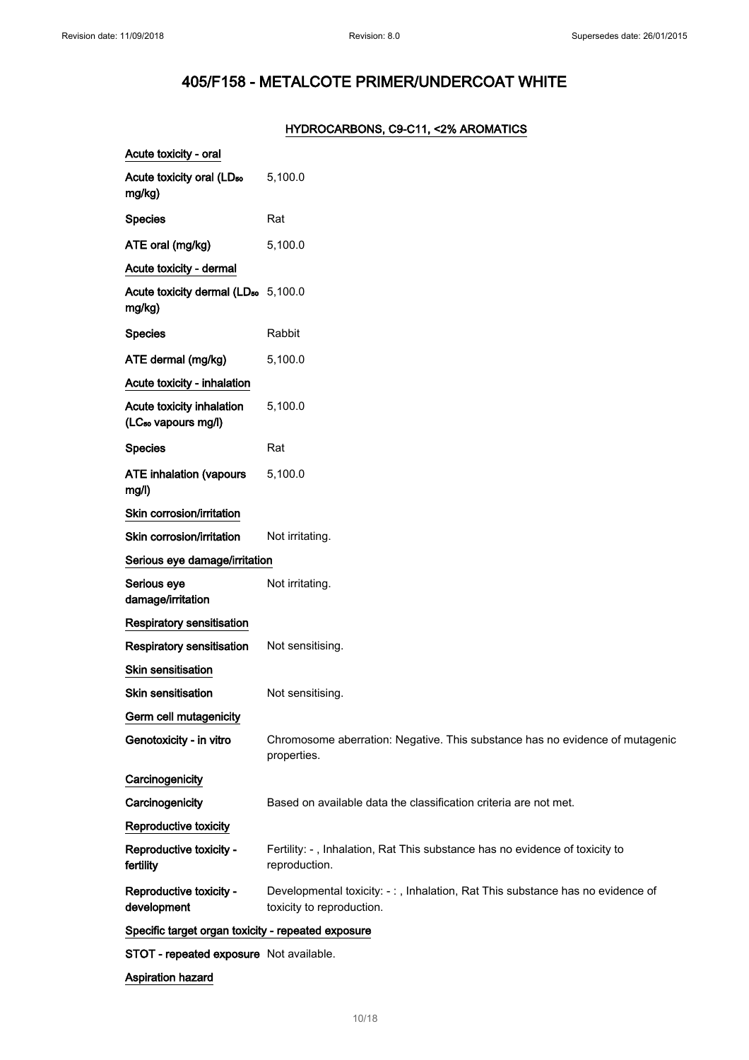## HYDROCARBONS, C9-C11, <2% AROMATICS

| Acute toxicity - oral                                        |                                                                                                            |
|--------------------------------------------------------------|------------------------------------------------------------------------------------------------------------|
| Acute toxicity oral (LD <sub>50</sub><br>mg/kg)              | 5,100.0                                                                                                    |
| <b>Species</b>                                               | Rat                                                                                                        |
| ATE oral (mg/kg)                                             | 5,100.0                                                                                                    |
| Acute toxicity - dermal                                      |                                                                                                            |
| Acute toxicity dermal (LD <sub>50</sub> 5,100.0<br>mg/kg)    |                                                                                                            |
| <b>Species</b>                                               | Rabbit                                                                                                     |
| ATE dermal (mg/kg)                                           | 5,100.0                                                                                                    |
| Acute toxicity - inhalation                                  |                                                                                                            |
| Acute toxicity inhalation<br>(LC <sub>50</sub> vapours mg/l) | 5,100.0                                                                                                    |
| <b>Species</b>                                               | Rat                                                                                                        |
| <b>ATE inhalation (vapours</b><br>mg/l)                      | 5,100.0                                                                                                    |
| Skin corrosion/irritation                                    |                                                                                                            |
| Skin corrosion/irritation                                    | Not irritating.                                                                                            |
| Serious eye damage/irritation                                |                                                                                                            |
| Serious eye<br>damage/irritation                             | Not irritating.                                                                                            |
| <b>Respiratory sensitisation</b>                             |                                                                                                            |
| Respiratory sensitisation                                    | Not sensitising.                                                                                           |
| Skin sensitisation                                           |                                                                                                            |
| Skin sensitisation                                           | Not sensitising.                                                                                           |
| Germ cell mutagenicity                                       |                                                                                                            |
| Genotoxicity - in vitro                                      | Chromosome aberration: Negative. This substance has no evidence of mutagenic<br>properties.                |
| Carcinogenicity                                              |                                                                                                            |
| Carcinogenicity                                              | Based on available data the classification criteria are not met.                                           |
| Reproductive toxicity                                        |                                                                                                            |
| Reproductive toxicity -<br>fertility                         | Fertility: -, Inhalation, Rat This substance has no evidence of toxicity to<br>reproduction.               |
| Reproductive toxicity -<br>development                       | Developmental toxicity: -:, Inhalation, Rat This substance has no evidence of<br>toxicity to reproduction. |
| Specific target organ toxicity - repeated exposure           |                                                                                                            |
| STOT - repeated exposure Not available.                      |                                                                                                            |
| Aspiration hazard                                            |                                                                                                            |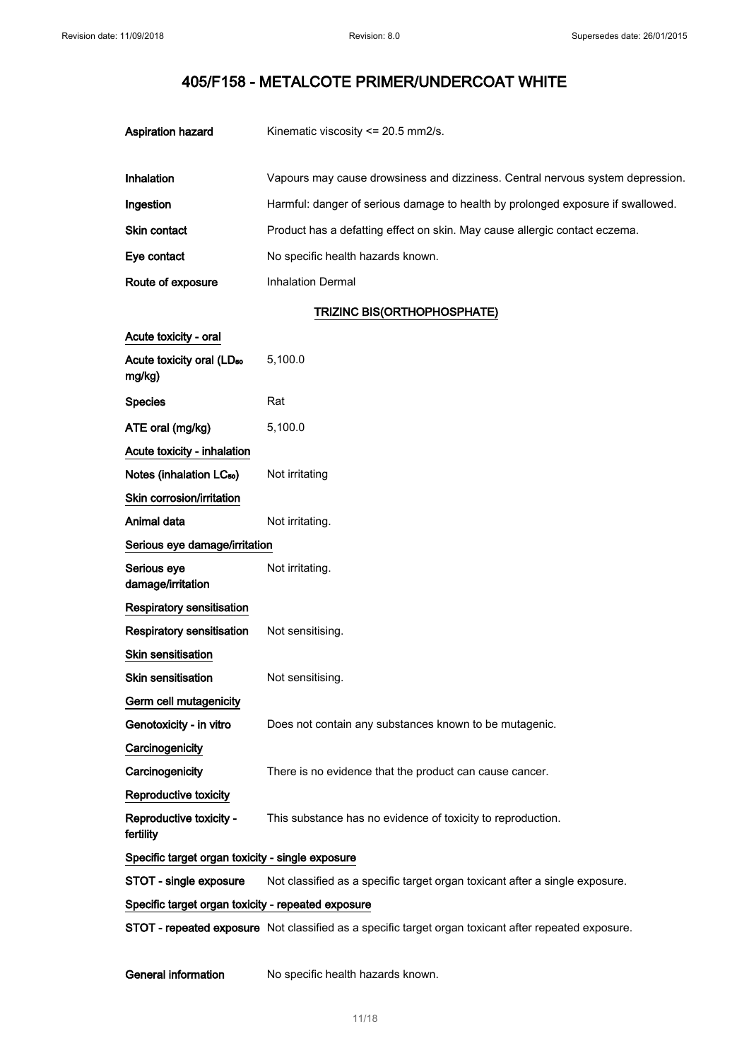| Aspiration hazard   | Kinematic viscosity $\leq$ 20.5 mm2/s.                                          |  |
|---------------------|---------------------------------------------------------------------------------|--|
| Inhalation          | Vapours may cause drowsiness and dizziness. Central nervous system depression.  |  |
| Ingestion           | Harmful: danger of serious damage to health by prolonged exposure if swallowed. |  |
| <b>Skin contact</b> | Product has a defatting effect on skin. May cause allergic contact eczema.      |  |
| Eye contact         | No specific health hazards known.                                               |  |
| Route of exposure   | Inhalation Dermal                                                               |  |

## TRIZINC BIS(ORTHOPHOSPHATE)

| Acute toxicity - oral                              |                                                                             |
|----------------------------------------------------|-----------------------------------------------------------------------------|
| Acute toxicity oral (LD <sub>50</sub><br>mg/kg)    | 5,100.0                                                                     |
| <b>Species</b>                                     | Rat                                                                         |
| ATE oral (mg/kg)                                   | 5,100.0                                                                     |
| Acute toxicity - inhalation                        |                                                                             |
| Notes (inhalation LC <sub>50</sub> )               | Not irritating                                                              |
| Skin corrosion/irritation                          |                                                                             |
| Animal data                                        | Not irritating.                                                             |
| Serious eye damage/irritation                      |                                                                             |
| Serious eye<br>damage/irritation                   | Not irritating.                                                             |
| <b>Respiratory sensitisation</b>                   |                                                                             |
| <b>Respiratory sensitisation</b>                   | Not sensitising.                                                            |
| Skin sensitisation                                 |                                                                             |
| <b>Skin sensitisation</b>                          | Not sensitising.                                                            |
| Germ cell mutagenicity                             |                                                                             |
| Genotoxicity - in vitro                            | Does not contain any substances known to be mutagenic.                      |
| Carcinogenicity                                    |                                                                             |
| Carcinogenicity                                    | There is no evidence that the product can cause cancer.                     |
| <b>Reproductive toxicity</b>                       |                                                                             |
| Reproductive toxicity -<br>fertility               | This substance has no evidence of toxicity to reproduction.                 |
| Specific target organ toxicity - single exposure   |                                                                             |
| STOT - single exposure                             | Not classified as a specific target organ toxicant after a single exposure. |
| Specific target organ toxicity - repeated exposure |                                                                             |

STOT - repeated exposure Not classified as a specific target organ toxicant after repeated exposure.

General information No specific health hazards known.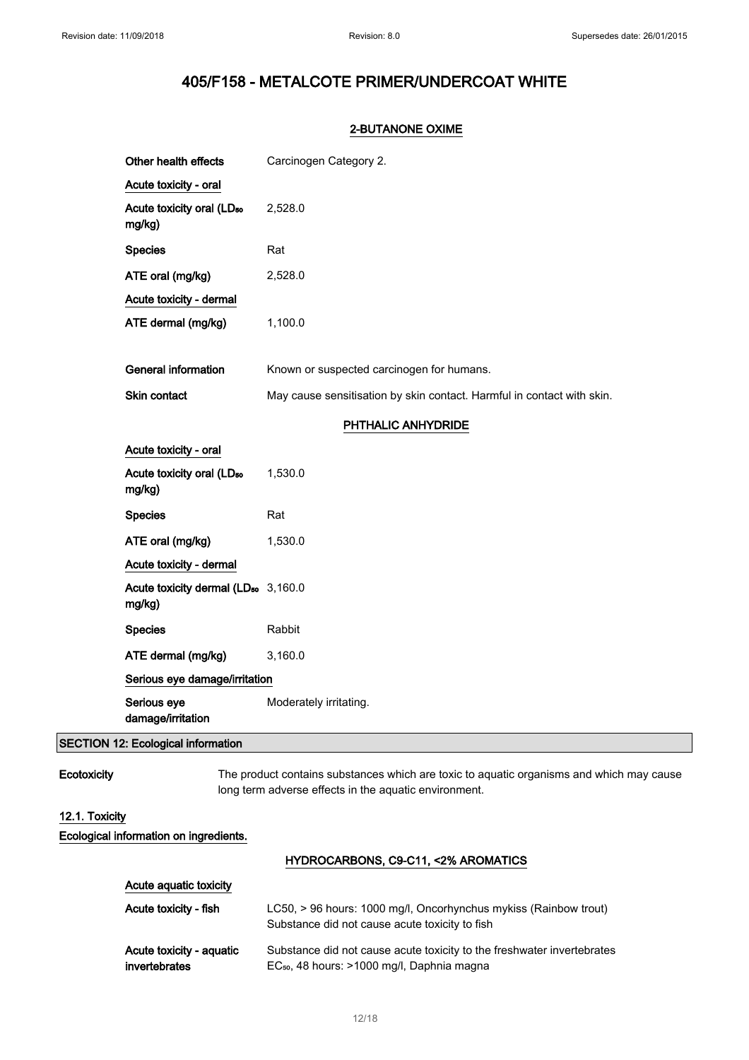### 2-BUTANONE OXIME

| Other health effects                                      | Carcinogen Category 2.                                                 |
|-----------------------------------------------------------|------------------------------------------------------------------------|
| Acute toxicity - oral                                     |                                                                        |
| Acute toxicity oral (LD <sub>50</sub><br>mg/kg)           | 2,528.0                                                                |
| <b>Species</b>                                            | Rat                                                                    |
| ATE oral (mg/kg)                                          | 2,528.0                                                                |
| Acute toxicity - dermal                                   |                                                                        |
| ATE dermal (mg/kg)                                        | 1,100.0                                                                |
|                                                           |                                                                        |
| <b>General information</b>                                | Known or suspected carcinogen for humans.                              |
| Skin contact                                              | May cause sensitisation by skin contact. Harmful in contact with skin. |
|                                                           | PHTHALIC ANHYDRIDE                                                     |
| Acute toxicity - oral                                     |                                                                        |
| Acute toxicity oral (LD <sub>50</sub><br>mg/kg)           | 1,530.0                                                                |
| <b>Species</b>                                            | Rat                                                                    |
| ATE oral (mg/kg)                                          | 1,530.0                                                                |
| Acute toxicity - dermal                                   |                                                                        |
| Acute toxicity dermal (LD <sub>50</sub> 3,160.0<br>mg/kg) |                                                                        |
| <b>Species</b>                                            | Rabbit                                                                 |
| ATE dermal (mg/kg)                                        | 3,160.0                                                                |
| Serious eye damage/irritation                             |                                                                        |
| Serious eye<br>damage/irritation                          | Moderately irritating.                                                 |

## SECTION 12: Ecological information

Ecotoxicity The product contains substances which are toxic to aquatic organisms and which may cause long term adverse effects in the aquatic environment.

## 12.1. Toxicity

Ecological information on ingredients.

## HYDROCARBONS, C9-C11, <2% AROMATICS

| Acute aquatic toxicity   |                                                                                                                    |
|--------------------------|--------------------------------------------------------------------------------------------------------------------|
| Acute toxicity - fish    | LC50, > 96 hours: 1000 mg/l, Oncorhynchus mykiss (Rainbow trout)<br>Substance did not cause acute toxicity to fish |
| Acute toxicity - aguatic | Substance did not cause acute toxicity to the freshwater invertebrates                                             |
| invertebrates            | EC <sub>50</sub> , 48 hours: >1000 mg/l, Daphnia magna                                                             |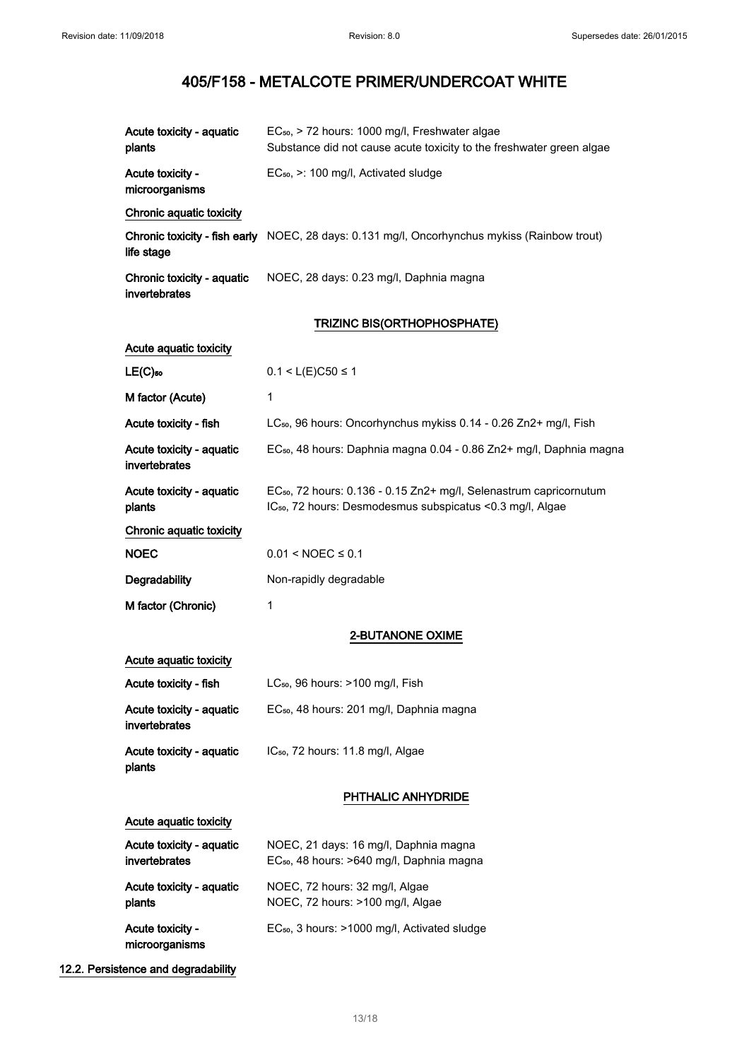| Acute toxicity - aquatic<br>plants          | EC <sub>50</sub> , > 72 hours: 1000 mg/l, Freshwater algae<br>Substance did not cause acute toxicity to the freshwater green algae                       |  |
|---------------------------------------------|----------------------------------------------------------------------------------------------------------------------------------------------------------|--|
| Acute toxicity -<br>microorganisms          | EC <sub>50</sub> , >: 100 mg/l, Activated sludge                                                                                                         |  |
| Chronic aquatic toxicity                    |                                                                                                                                                          |  |
| life stage                                  | Chronic toxicity - fish early NOEC, 28 days: 0.131 mg/l, Oncorhynchus mykiss (Rainbow trout)                                                             |  |
| Chronic toxicity - aquatic<br>invertebrates | NOEC, 28 days: 0.23 mg/l, Daphnia magna                                                                                                                  |  |
|                                             | TRIZINC BIS(ORTHOPHOSPHATE)                                                                                                                              |  |
| Acute aquatic toxicity                      |                                                                                                                                                          |  |
| $LE(C)$ <sub>50</sub>                       | $0.1 < L(E)C50 \le 1$                                                                                                                                    |  |
| M factor (Acute)                            | 1                                                                                                                                                        |  |
| Acute toxicity - fish                       | LC <sub>50</sub> , 96 hours: Oncorhynchus mykiss 0.14 - 0.26 Zn2+ mg/l, Fish                                                                             |  |
| Acute toxicity - aquatic<br>invertebrates   | EC <sub>50</sub> , 48 hours: Daphnia magna 0.04 - 0.86 Zn2+ mg/l, Daphnia magna                                                                          |  |
| Acute toxicity - aquatic<br>plants          | EC <sub>50</sub> , 72 hours: 0.136 - 0.15 Zn2+ mg/l, Selenastrum capricornutum<br>IC <sub>50</sub> , 72 hours: Desmodesmus subspicatus < 0.3 mg/l, Algae |  |
| Chronic aquatic toxicity                    |                                                                                                                                                          |  |
| <b>NOEC</b>                                 | $0.01 <$ NOEC $\leq 0.1$                                                                                                                                 |  |
| Degradability                               | Non-rapidly degradable                                                                                                                                   |  |
| M factor (Chronic)                          | 1                                                                                                                                                        |  |
|                                             | <b>2-BUTANONE OXIME</b>                                                                                                                                  |  |
| Acute aquatic toxicity                      |                                                                                                                                                          |  |
| Acute toxicity - fish                       | $LC_{50}$ , 96 hours: $>100$ mg/l, Fish                                                                                                                  |  |
| Acute toxicity - aquatic<br>invertebrates   | EC <sub>50</sub> , 48 hours: 201 mg/l, Daphnia magna                                                                                                     |  |
| Acute toxicity - aquatic<br>plants          | IC <sub>50</sub> , 72 hours: 11.8 mg/l, Algae                                                                                                            |  |
|                                             | PHTHALIC ANHYDRIDE                                                                                                                                       |  |
| Acute aquatic toxicity                      |                                                                                                                                                          |  |
| Acute toxicity - aquatic<br>invertebrates   | NOEC, 21 days: 16 mg/l, Daphnia magna<br>EC <sub>50</sub> , 48 hours: >640 mg/l, Daphnia magna                                                           |  |
| Acute toxicity - aquatic<br>plants          | NOEC, 72 hours: 32 mg/l, Algae<br>NOEC, 72 hours: >100 mg/l, Algae                                                                                       |  |
| Acute toxicity -<br>microorganisms          | EC <sub>50</sub> , 3 hours: >1000 mg/l, Activated sludge                                                                                                 |  |

## 12.2. Persistence and degradability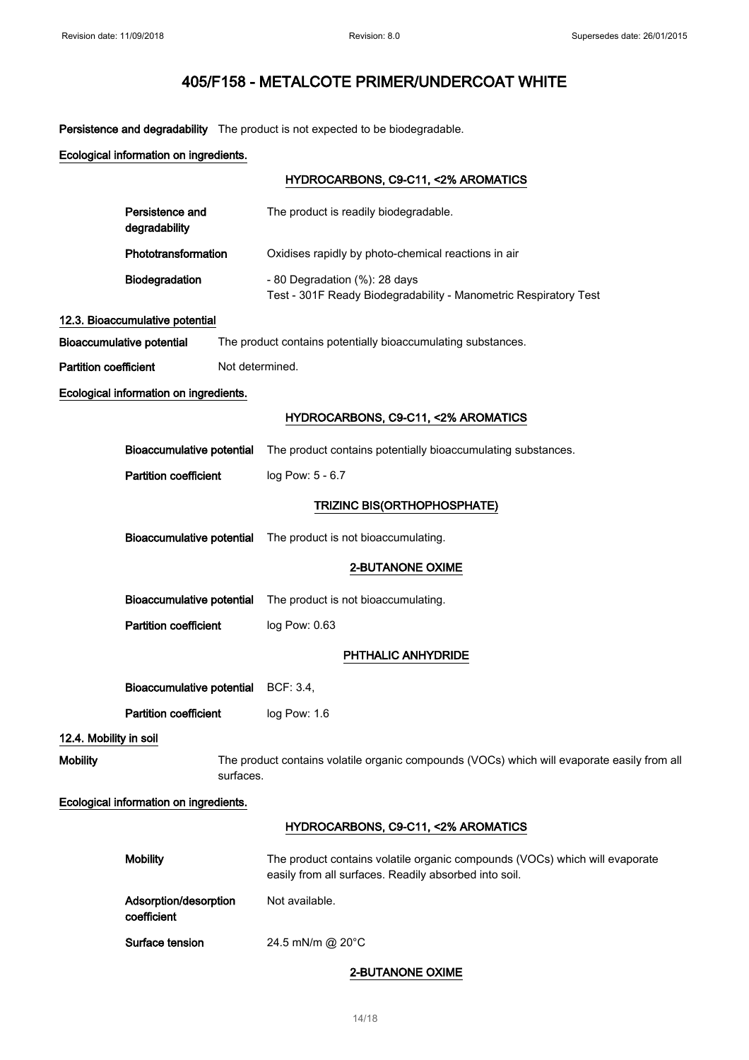Persistence and degradability The product is not expected to be biodegradable.

Ecological information on ingredients.

|                              |                                        |                 | HYDROCARBONS, C9-C11, <2% AROMATICS                                                                                                  |
|------------------------------|----------------------------------------|-----------------|--------------------------------------------------------------------------------------------------------------------------------------|
|                              | Persistence and<br>degradability       |                 | The product is readily biodegradable.                                                                                                |
|                              | Phototransformation                    |                 | Oxidises rapidly by photo-chemical reactions in air                                                                                  |
|                              | Biodegradation                         |                 | - 80 Degradation (%): 28 days<br>Test - 301F Ready Biodegradability - Manometric Respiratory Test                                    |
|                              | 12.3. Bioaccumulative potential        |                 |                                                                                                                                      |
|                              | <b>Bioaccumulative potential</b>       |                 | The product contains potentially bioaccumulating substances.                                                                         |
| <b>Partition coefficient</b> |                                        | Not determined. |                                                                                                                                      |
|                              | Ecological information on ingredients. |                 |                                                                                                                                      |
|                              |                                        |                 | HYDROCARBONS, C9-C11, <2% AROMATICS                                                                                                  |
|                              | <b>Bioaccumulative potential</b>       |                 | The product contains potentially bioaccumulating substances.                                                                         |
|                              | <b>Partition coefficient</b>           |                 | log Pow: 5 - 6.7                                                                                                                     |
|                              |                                        |                 | TRIZINC BIS(ORTHOPHOSPHATE)                                                                                                          |
|                              |                                        |                 |                                                                                                                                      |
|                              | <b>Bioaccumulative potential</b>       |                 | The product is not bioaccumulating.                                                                                                  |
|                              |                                        |                 | 2-BUTANONE OXIME                                                                                                                     |
|                              | <b>Bioaccumulative potential</b>       |                 | The product is not bioaccumulating.                                                                                                  |
|                              | <b>Partition coefficient</b>           |                 | log Pow: 0.63                                                                                                                        |
|                              |                                        |                 | PHTHALIC ANHYDRIDE                                                                                                                   |
|                              | <b>Bioaccumulative potential</b>       |                 | BCF: 3.4,                                                                                                                            |
|                              | <b>Partition coefficient</b>           |                 | log Pow: 1.6                                                                                                                         |
| 12.4. Mobility in soil       |                                        |                 |                                                                                                                                      |
| <b>Mobility</b>              |                                        | surfaces.       | The product contains volatile organic compounds (VOCs) which will evaporate easily from all                                          |
|                              | Ecological information on ingredients. |                 |                                                                                                                                      |
|                              |                                        |                 | HYDROCARBONS, C9-C11, <2% AROMATICS                                                                                                  |
|                              | <b>Mobility</b>                        |                 | The product contains volatile organic compounds (VOCs) which will evaporate<br>easily from all surfaces. Readily absorbed into soil. |
|                              | Adsorption/desorption<br>coefficient   |                 | Not available.                                                                                                                       |

Surface tension 24.5 mN/m @ 20°C

## 2-BUTANONE OXIME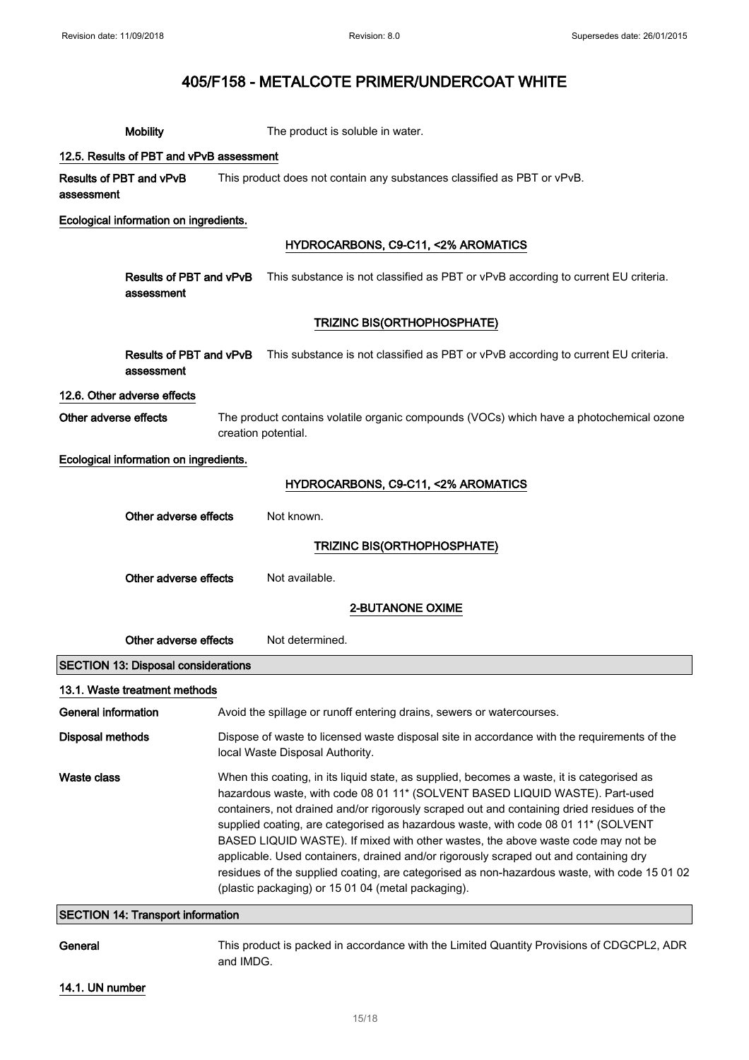|                            | <b>Mobility</b>                            |                                                                                                                                                                                                                                                                                                                                                                                                                                                                                                                                                                                                                                                                                                   | The product is soluble in water.                                                                          |
|----------------------------|--------------------------------------------|---------------------------------------------------------------------------------------------------------------------------------------------------------------------------------------------------------------------------------------------------------------------------------------------------------------------------------------------------------------------------------------------------------------------------------------------------------------------------------------------------------------------------------------------------------------------------------------------------------------------------------------------------------------------------------------------------|-----------------------------------------------------------------------------------------------------------|
|                            | 12.5. Results of PBT and vPvB assessment   |                                                                                                                                                                                                                                                                                                                                                                                                                                                                                                                                                                                                                                                                                                   |                                                                                                           |
| assessment                 | Results of PBT and vPvB                    |                                                                                                                                                                                                                                                                                                                                                                                                                                                                                                                                                                                                                                                                                                   | This product does not contain any substances classified as PBT or vPvB.                                   |
|                            | Ecological information on ingredients.     |                                                                                                                                                                                                                                                                                                                                                                                                                                                                                                                                                                                                                                                                                                   |                                                                                                           |
|                            |                                            |                                                                                                                                                                                                                                                                                                                                                                                                                                                                                                                                                                                                                                                                                                   | HYDROCARBONS, C9-C11, <2% AROMATICS                                                                       |
|                            | Results of PBT and vPvB<br>assessment      |                                                                                                                                                                                                                                                                                                                                                                                                                                                                                                                                                                                                                                                                                                   | This substance is not classified as PBT or vPvB according to current EU criteria.                         |
|                            |                                            |                                                                                                                                                                                                                                                                                                                                                                                                                                                                                                                                                                                                                                                                                                   | TRIZINC BIS(ORTHOPHOSPHATE)                                                                               |
|                            | assessment                                 |                                                                                                                                                                                                                                                                                                                                                                                                                                                                                                                                                                                                                                                                                                   | Results of PBT and vPvB This substance is not classified as PBT or vPvB according to current EU criteria. |
|                            | 12.6. Other adverse effects                |                                                                                                                                                                                                                                                                                                                                                                                                                                                                                                                                                                                                                                                                                                   |                                                                                                           |
| Other adverse effects      |                                            | creation potential.                                                                                                                                                                                                                                                                                                                                                                                                                                                                                                                                                                                                                                                                               | The product contains volatile organic compounds (VOCs) which have a photochemical ozone                   |
|                            | Ecological information on ingredients.     |                                                                                                                                                                                                                                                                                                                                                                                                                                                                                                                                                                                                                                                                                                   |                                                                                                           |
|                            |                                            |                                                                                                                                                                                                                                                                                                                                                                                                                                                                                                                                                                                                                                                                                                   | HYDROCARBONS, C9-C11, <2% AROMATICS                                                                       |
|                            | Other adverse effects                      |                                                                                                                                                                                                                                                                                                                                                                                                                                                                                                                                                                                                                                                                                                   | Not known.                                                                                                |
|                            |                                            |                                                                                                                                                                                                                                                                                                                                                                                                                                                                                                                                                                                                                                                                                                   | <b>TRIZINC BIS(ORTHOPHOSPHATE)</b>                                                                        |
|                            | Other adverse effects                      |                                                                                                                                                                                                                                                                                                                                                                                                                                                                                                                                                                                                                                                                                                   | Not available.                                                                                            |
|                            |                                            |                                                                                                                                                                                                                                                                                                                                                                                                                                                                                                                                                                                                                                                                                                   | <b>2-BUTANONE OXIME</b>                                                                                   |
|                            | Other adverse effects                      |                                                                                                                                                                                                                                                                                                                                                                                                                                                                                                                                                                                                                                                                                                   | Not determined.                                                                                           |
|                            | <b>SECTION 13: Disposal considerations</b> |                                                                                                                                                                                                                                                                                                                                                                                                                                                                                                                                                                                                                                                                                                   |                                                                                                           |
|                            | 13.1. Waste treatment methods              |                                                                                                                                                                                                                                                                                                                                                                                                                                                                                                                                                                                                                                                                                                   |                                                                                                           |
| <b>General information</b> |                                            |                                                                                                                                                                                                                                                                                                                                                                                                                                                                                                                                                                                                                                                                                                   | Avoid the spillage or runoff entering drains, sewers or watercourses.                                     |
| Disposal methods           |                                            | Dispose of waste to licensed waste disposal site in accordance with the requirements of the<br>local Waste Disposal Authority.                                                                                                                                                                                                                                                                                                                                                                                                                                                                                                                                                                    |                                                                                                           |
| <b>Waste class</b>         |                                            | When this coating, in its liquid state, as supplied, becomes a waste, it is categorised as<br>hazardous waste, with code 08 01 11* (SOLVENT BASED LIQUID WASTE). Part-used<br>containers, not drained and/or rigorously scraped out and containing dried residues of the<br>supplied coating, are categorised as hazardous waste, with code 08 01 11* (SOLVENT<br>BASED LIQUID WASTE). If mixed with other wastes, the above waste code may not be<br>applicable. Used containers, drained and/or rigorously scraped out and containing dry<br>residues of the supplied coating, are categorised as non-hazardous waste, with code 15 01 02<br>(plastic packaging) or 15 01 04 (metal packaging). |                                                                                                           |
|                            | <b>SECTION 14: Transport information</b>   |                                                                                                                                                                                                                                                                                                                                                                                                                                                                                                                                                                                                                                                                                                   |                                                                                                           |
| General                    |                                            |                                                                                                                                                                                                                                                                                                                                                                                                                                                                                                                                                                                                                                                                                                   | This product is packed in accordance with the Limited Quantity Provisions of CDGCPL2, ADR                 |

and IMDG.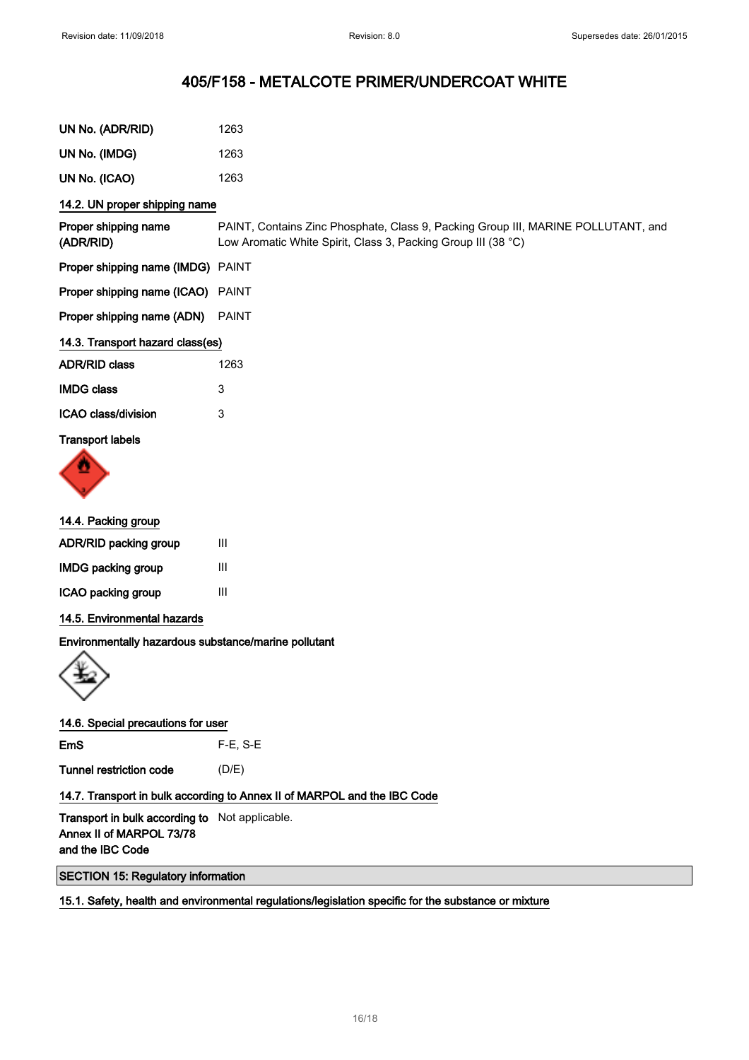| UN No. (ADR/RID)                                     | 1263                                                                                                                                               |
|------------------------------------------------------|----------------------------------------------------------------------------------------------------------------------------------------------------|
| UN No. (IMDG)                                        | 1263                                                                                                                                               |
| UN No. (ICAO)                                        | 1263                                                                                                                                               |
| 14.2. UN proper shipping name                        |                                                                                                                                                    |
| Proper shipping name<br>(ADR/RID)                    | PAINT, Contains Zinc Phosphate, Class 9, Packing Group III, MARINE POLLUTANT, and<br>Low Aromatic White Spirit, Class 3, Packing Group III (38 °C) |
| Proper shipping name (IMDG) PAINT                    |                                                                                                                                                    |
| Proper shipping name (ICAO) PAINT                    |                                                                                                                                                    |
| Proper shipping name (ADN)                           | <b>PAINT</b>                                                                                                                                       |
| 14.3. Transport hazard class(es)                     |                                                                                                                                                    |
| <b>ADR/RID class</b>                                 | 1263                                                                                                                                               |
| <b>IMDG class</b>                                    | 3                                                                                                                                                  |
| ICAO class/division                                  | 3                                                                                                                                                  |
| <b>Transport labels</b>                              |                                                                                                                                                    |
| 14.4. Packing group                                  |                                                                                                                                                    |
| ADR/RID packing group                                | Ш                                                                                                                                                  |
| <b>IMDG</b> packing group                            | $\ensuremath{\mathsf{III}}\xspace$                                                                                                                 |
| ICAO packing group                                   | III                                                                                                                                                |
| 14.5. Environmental hazards                          |                                                                                                                                                    |
| Environmentally hazardous substance/marine pollutant |                                                                                                                                                    |

| 14.6. Special precautions for user |  |  |  |  |
|------------------------------------|--|--|--|--|
|------------------------------------|--|--|--|--|

EmS F-E, S-E Tunnel restriction code (D/E)

14.7. Transport in bulk according to Annex II of MARPOL and the IBC Code

Transport in bulk according to Not applicable. Annex II of MARPOL 73/78 and the IBC Code

SECTION 15: Regulatory information

15.1. Safety, health and environmental regulations/legislation specific for the substance or mixture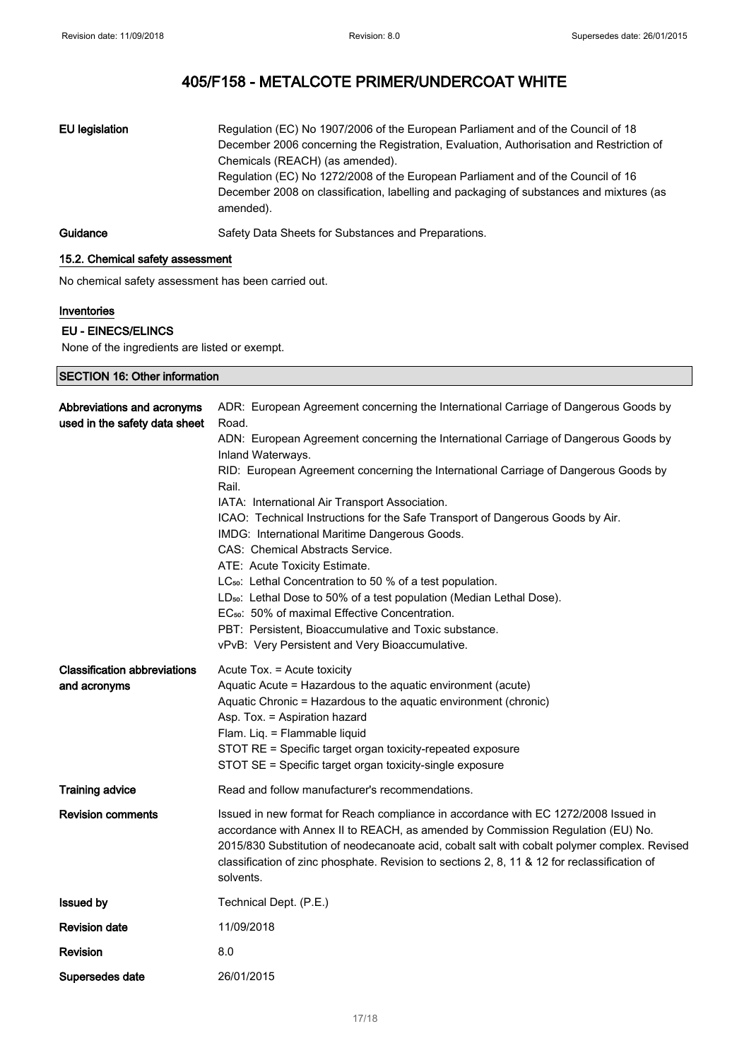| EU legislation | Regulation (EC) No 1907/2006 of the European Parliament and of the Council of 18<br>December 2006 concerning the Registration, Evaluation, Authorisation and Restriction of<br>Chemicals (REACH) (as amended).<br>Regulation (EC) No 1272/2008 of the European Parliament and of the Council of 16<br>December 2008 on classification, labelling and packaging of substances and mixtures (as<br>amended). |
|----------------|------------------------------------------------------------------------------------------------------------------------------------------------------------------------------------------------------------------------------------------------------------------------------------------------------------------------------------------------------------------------------------------------------------|
| Guidance       | Safety Data Sheets for Substances and Preparations.                                                                                                                                                                                                                                                                                                                                                        |

## 15.2. Chemical safety assessment

No chemical safety assessment has been carried out.

#### Inventories

## EU - EINECS/ELINCS

None of the ingredients are listed or exempt.

| <b>SECTION 16: Other information</b>                        |                                                                                                                                                                                                                                                                                                                                                                                                                                                                                                                                                                                                                                                                                                                                                                                               |  |
|-------------------------------------------------------------|-----------------------------------------------------------------------------------------------------------------------------------------------------------------------------------------------------------------------------------------------------------------------------------------------------------------------------------------------------------------------------------------------------------------------------------------------------------------------------------------------------------------------------------------------------------------------------------------------------------------------------------------------------------------------------------------------------------------------------------------------------------------------------------------------|--|
| Abbreviations and acronyms<br>used in the safety data sheet | ADR: European Agreement concerning the International Carriage of Dangerous Goods by<br>Road.<br>ADN: European Agreement concerning the International Carriage of Dangerous Goods by<br>Inland Waterways.<br>RID: European Agreement concerning the International Carriage of Dangerous Goods by<br>Rail.<br>IATA: International Air Transport Association.<br>ICAO: Technical Instructions for the Safe Transport of Dangerous Goods by Air.<br>IMDG: International Maritime Dangerous Goods.<br>CAS: Chemical Abstracts Service.<br>ATE: Acute Toxicity Estimate.<br>LC <sub>50</sub> : Lethal Concentration to 50 % of a test population.<br>LD <sub>50</sub> : Lethal Dose to 50% of a test population (Median Lethal Dose).<br>EC <sub>50</sub> : 50% of maximal Effective Concentration. |  |
| <b>Classification abbreviations</b><br>and acronyms         | PBT: Persistent, Bioaccumulative and Toxic substance.<br>vPvB: Very Persistent and Very Bioaccumulative.<br>Acute Tox. = Acute toxicity<br>Aquatic Acute = Hazardous to the aquatic environment (acute)<br>Aquatic Chronic = Hazardous to the aquatic environment (chronic)<br>Asp. Tox. = Aspiration hazard<br>Flam. Liq. = Flammable liquid<br>STOT RE = Specific target organ toxicity-repeated exposure<br>STOT SE = Specific target organ toxicity-single exposure                                                                                                                                                                                                                                                                                                                       |  |
| <b>Training advice</b>                                      | Read and follow manufacturer's recommendations.                                                                                                                                                                                                                                                                                                                                                                                                                                                                                                                                                                                                                                                                                                                                               |  |
| <b>Revision comments</b>                                    | Issued in new format for Reach compliance in accordance with EC 1272/2008 Issued in<br>accordance with Annex II to REACH, as amended by Commission Regulation (EU) No.<br>2015/830 Substitution of neodecanoate acid, cobalt salt with cobalt polymer complex. Revised<br>classification of zinc phosphate. Revision to sections 2, 8, 11 & 12 for reclassification of<br>solvents.                                                                                                                                                                                                                                                                                                                                                                                                           |  |
| <b>Issued by</b>                                            | Technical Dept. (P.E.)                                                                                                                                                                                                                                                                                                                                                                                                                                                                                                                                                                                                                                                                                                                                                                        |  |
| <b>Revision date</b>                                        | 11/09/2018                                                                                                                                                                                                                                                                                                                                                                                                                                                                                                                                                                                                                                                                                                                                                                                    |  |
| Revision                                                    | 8.0                                                                                                                                                                                                                                                                                                                                                                                                                                                                                                                                                                                                                                                                                                                                                                                           |  |
| Supersedes date                                             | 26/01/2015                                                                                                                                                                                                                                                                                                                                                                                                                                                                                                                                                                                                                                                                                                                                                                                    |  |